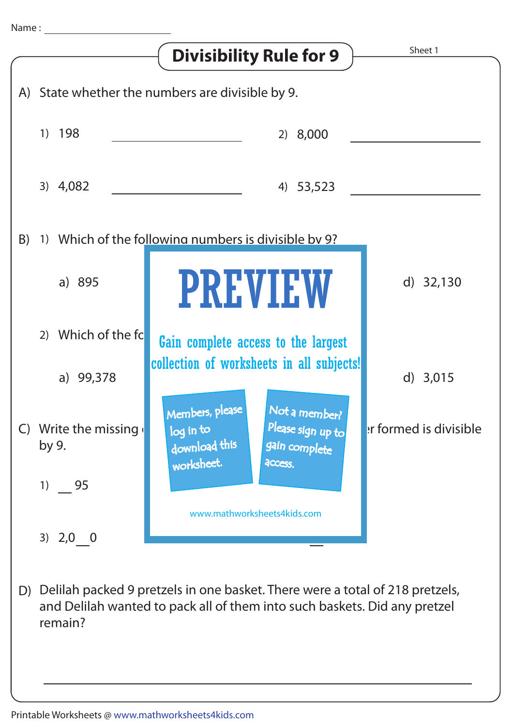